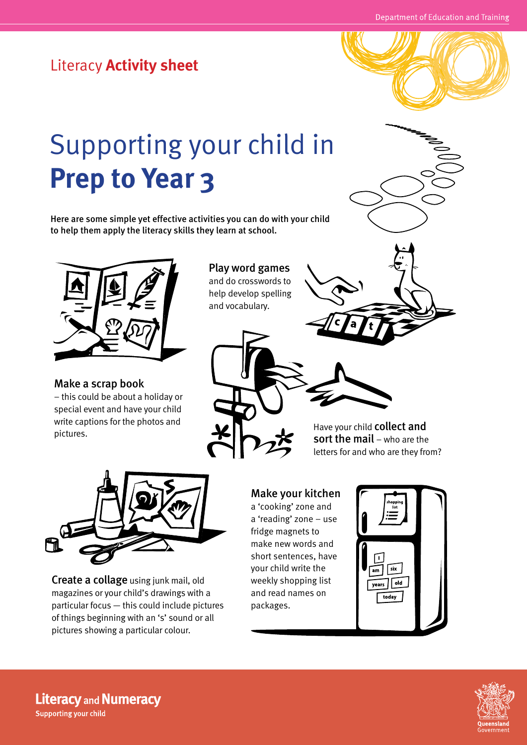## Literacy **Activity sheet**



# Supporting your child in **Prep to Year 3**

Here are some simple yet effective activities you can do with your child to help them apply the literacy skills they learn at school.



Make a scrap book – this could be about a holiday or

special event and have your child write captions for the photos and pictures.

#### Play word games and do crosswords to help develop spelling and vocabulary.

Have your child collect and sort the mail – who are the letters for and who are they from?



Create a collage using junk mail, old magazines or your child's drawings with a particular focus — this could include pictures of things beginning with an 's' sound or all pictures showing a particular colour.

#### Make your kitchen

a 'cooking' zone and a 'reading' zone – use fridge magnets to make new words and short sentences, have your child write the weekly shopping list and read names on packages.





**Literacy and Numeracy** Supporting your child